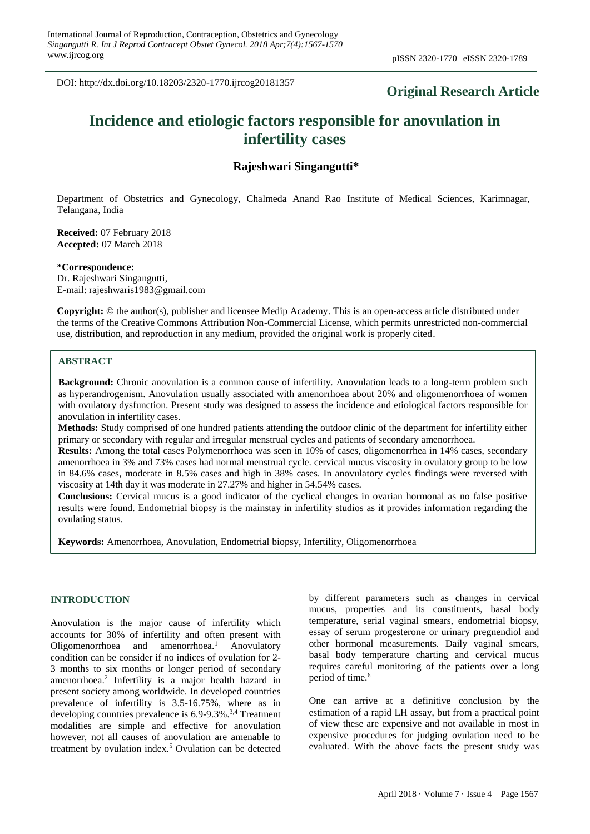DOI: http://dx.doi.org/10.18203/2320-1770.ijrcog20181357

## **Original Research Article**

# **Incidence and etiologic factors responsible for anovulation in infertility cases**

### **Rajeshwari Singangutti\***

Department of Obstetrics and Gynecology, Chalmeda Anand Rao Institute of Medical Sciences, Karimnagar, Telangana, India

**Received:** 07 February 2018 **Accepted:** 07 March 2018

**\*Correspondence:**

Dr. Rajeshwari Singangutti, E-mail: rajeshwaris1983@gmail.com

**Copyright:** © the author(s), publisher and licensee Medip Academy. This is an open-access article distributed under the terms of the Creative Commons Attribution Non-Commercial License, which permits unrestricted non-commercial use, distribution, and reproduction in any medium, provided the original work is properly cited.

### **ABSTRACT**

**Background:** Chronic anovulation is a common cause of infertility. Anovulation leads to a long-term problem such as hyperandrogenism. Anovulation usually associated with amenorrhoea about 20% and oligomenorrhoea of women with ovulatory dysfunction. Present study was designed to assess the incidence and etiological factors responsible for anovulation in infertility cases.

**Methods:** Study comprised of one hundred patients attending the outdoor clinic of the department for infertility either primary or secondary with regular and irregular menstrual cycles and patients of secondary amenorrhoea.

**Results:** Among the total cases Polymenorrhoea was seen in 10% of cases, oligomenorrhea in 14% cases, secondary amenorrhoea in 3% and 73% cases had normal menstrual cycle. cervical mucus viscosity in ovulatory group to be low in 84.6% cases, moderate in 8.5% cases and high in 38% cases. In anovulatory cycles findings were reversed with viscosity at 14th day it was moderate in 27.27% and higher in 54.54% cases.

**Conclusions:** Cervical mucus is a good indicator of the cyclical changes in ovarian hormonal as no false positive results were found. Endometrial biopsy is the mainstay in infertility studios as it provides information regarding the ovulating status.

**Keywords:** Amenorrhoea, Anovulation, Endometrial biopsy, Infertility, Oligomenorrhoea

#### **INTRODUCTION**

Anovulation is the major cause of infertility which accounts for 30% of infertility and often present with Oligomenorrhoea and amenorrhoea.<sup>1</sup> Anovulatory condition can be consider if no indices of ovulation for 2- 3 months to six months or longer period of secondary amenorrhoea.<sup>2</sup> Infertility is a major health hazard in present society among worldwide. In developed countries prevalence of infertility is 3.5-16.75%, where as in developing countries prevalence is  $6.9$ -9.3%.<sup>3,4</sup> Treatment modalities are simple and effective for anovulation however, not all causes of anovulation are amenable to treatment by ovulation index.<sup>5</sup> Ovulation can be detected by different parameters such as changes in cervical mucus, properties and its constituents, basal body temperature, serial vaginal smears, endometrial biopsy, essay of serum progesterone or urinary pregnendiol and other hormonal measurements. Daily vaginal smears, basal body temperature charting and cervical mucus requires careful monitoring of the patients over a long period of time.<sup>6</sup>

One can arrive at a definitive conclusion by the estimation of a rapid LH assay, but from a practical point of view these are expensive and not available in most in expensive procedures for judging ovulation need to be evaluated. With the above facts the present study was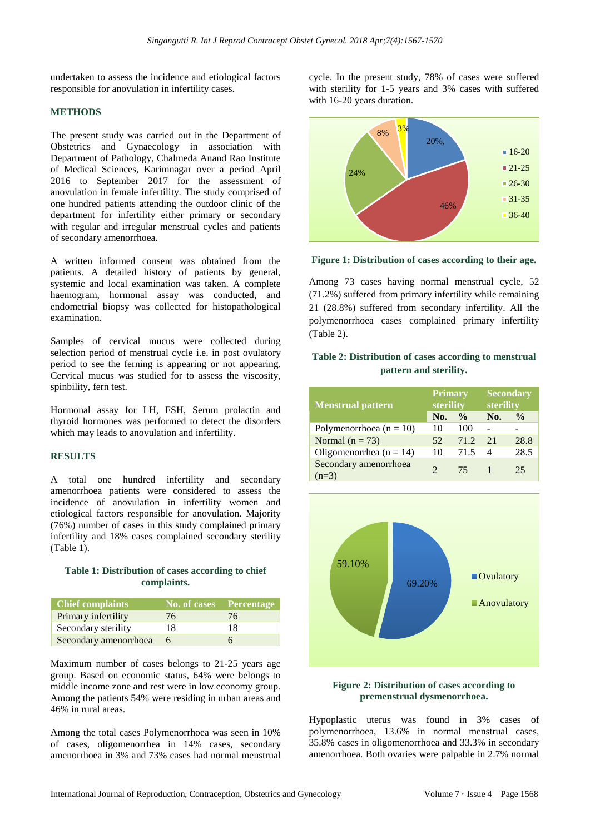undertaken to assess the incidence and etiological factors responsible for anovulation in infertility cases.

### **METHODS**

The present study was carried out in the Department of Obstetrics and Gynaecology in association with Department of Pathology, Chalmeda Anand Rao Institute of Medical Sciences, Karimnagar over a period April 2016 to September 2017 for the assessment of anovulation in female infertility. The study comprised of one hundred patients attending the outdoor clinic of the department for infertility either primary or secondary with regular and irregular menstrual cycles and patients of secondary amenorrhoea.

A written informed consent was obtained from the patients. A detailed history of patients by general, systemic and local examination was taken. A complete haemogram, hormonal assay was conducted, and endometrial biopsy was collected for histopathological examination.

Samples of cervical mucus were collected during selection period of menstrual cycle i.e. in post ovulatory period to see the ferning is appearing or not appearing. Cervical mucus was studied for to assess the viscosity, spinbility, fern test.

Hormonal assay for LH, FSH, Serum prolactin and thyroid hormones was performed to detect the disorders which may leads to anovulation and infertility.

### **RESULTS**

A total one hundred infertility and secondary amenorrhoea patients were considered to assess the incidence of anovulation in infertility women and etiological factors responsible for anovulation. Majority (76%) number of cases in this study complained primary infertility and 18% cases complained secondary sterility (Table 1).

### **Table 1: Distribution of cases according to chief complaints.**

| <b>Chief complaints</b> | No. of cases Percentage |    |
|-------------------------|-------------------------|----|
| Primary infertility     | 76                      | 76 |
| Secondary sterility     | 18                      | 18 |
| Secondary amenorrhoea   |                         |    |

Maximum number of cases belongs to 21-25 years age group. Based on economic status, 64% were belongs to middle income zone and rest were in low economy group. Among the patients 54% were residing in urban areas and 46% in rural areas.

Among the total cases Polymenorrhoea was seen in 10% of cases, oligomenorrhea in 14% cases, secondary amenorrhoea in 3% and 73% cases had normal menstrual cycle. In the present study, 78% of cases were suffered with sterility for 1-5 years and 3% cases with suffered with 16-20 years duration.



**Figure 1: Distribution of cases according to their age.**

Among 73 cases having normal menstrual cycle, 52 (71.2%) suffered from primary infertility while remaining 21 (28.8%) suffered from secondary infertility. All the polymenorrhoea cases complained primary infertility (Table 2).

### **Table 2: Distribution of cases according to menstrual pattern and sterility.**

| <b>Menstrual pattern</b>         | <b>Primary</b><br>sterility |               | <b>Secondary</b><br>sterility |               |  |
|----------------------------------|-----------------------------|---------------|-------------------------------|---------------|--|
|                                  | No.                         | $\frac{0}{0}$ | No.                           | $\frac{0}{0}$ |  |
| Polymenorrhoea ( $n = 10$ )      | 10                          | 100           |                               |               |  |
| Normal $(n = 73)$                | 52                          | 71.2          | 2.1                           | 28.8          |  |
| Oligomenorrhea (n = 14)          | 10                          | 71.5          | $\overline{A}$                | 28.5          |  |
| Secondary amenorrhoea<br>$(n=3)$ | $\mathcal{D}$               | 75            |                               | 25            |  |



### **Figure 2: Distribution of cases according to premenstrual dysmenorrhoea.**

Hypoplastic uterus was found in 3% cases of polymenorrhoea, 13.6% in normal menstrual cases, 35.8% cases in oligomenorrhoea and 33.3% in secondary amenorrhoea. Both ovaries were palpable in 2.7% normal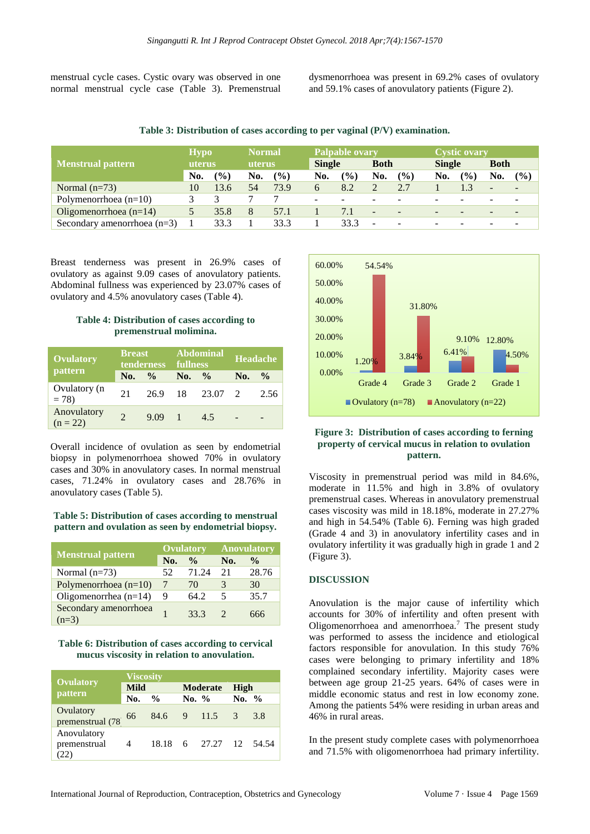menstrual cycle cases. Cystic ovary was observed in one normal menstrual cycle case (Table 3). Premenstrual dysmenorrhoea was present in 69.2% cases of ovulatory and 59.1% cases of anovulatory patients (Figure 2).

**Table 3: Distribution of cases according to per vaginal (P/V) examination.**

|                               |        | <b>Hypo</b><br><b>Normal</b> |        |               |               | <b>Palpable ovary</b> |                          |               | Cystic ovary  |               |             |        |
|-------------------------------|--------|------------------------------|--------|---------------|---------------|-----------------------|--------------------------|---------------|---------------|---------------|-------------|--------|
| <b>Menstrual pattern</b>      | uterus |                              | uterus |               | <b>Single</b> |                       | <b>Both</b>              |               | <b>Single</b> |               | <b>Both</b> |        |
|                               | No.    | $\frac{1}{2}$                | No.    | $\frac{9}{6}$ | No.           | (%)                   | No.                      | $\frac{1}{2}$ | No.           | $\frac{9}{6}$ | No.         | $($ %) |
| Normal $(n=73)$               | 10     | 13.6                         | 54     | 73.9          |               | 8.2                   |                          | 2.7           |               |               |             |        |
| Polymenorrhoea $(n=10)$       |        |                              |        |               | $\sim$        |                       |                          |               | ۰             |               |             |        |
| Oligomenorrhoea $(n=14)$      |        | 35.8                         | 8      | 57.1          |               | 7.1                   | $\overline{\phantom{a}}$ |               |               |               |             |        |
| Secondary amenorrhoea $(n=3)$ |        | 33.3                         |        | 33.3          |               | 33.3                  | $\overline{\phantom{a}}$ |               |               |               |             |        |

Breast tenderness was present in 26.9% cases of ovulatory as against 9.09 cases of anovulatory patients. Abdominal fullness was experienced by 23.07% cases of ovulatory and 4.5% anovulatory cases (Table 4).

### **Table 4: Distribution of cases according to premenstrual molimina.**

| <b>Breast</b><br><b>Ovulatory</b><br>tenderness<br>pattern |               |               | <b>fullness</b> | <b>Abdominal</b> | Headache |               |  |
|------------------------------------------------------------|---------------|---------------|-----------------|------------------|----------|---------------|--|
|                                                            | No.           | $\frac{0}{0}$ | No.             | $\frac{6}{9}$    | No.      | $\frac{0}{0}$ |  |
| Ovulatory (n<br>$= 78$                                     | 21            | 26.9          | 18              | 23.07 2          |          | 2.56          |  |
| Anovulatory<br>$(n = 22)$                                  | $\mathcal{D}$ | 9.09          |                 | 45               |          |               |  |

Overall incidence of ovulation as seen by endometrial biopsy in polymenorrhoea showed 70% in ovulatory cases and 30% in anovulatory cases. In normal menstrual cases, 71.24% in ovulatory cases and 28.76% in anovulatory cases (Table 5).

**Table 5: Distribution of cases according to menstrual pattern and ovulation as seen by endometrial biopsy.**

|                                  |     | <b>Ovulatory</b> | <b>Anovulatory</b> |               |  |
|----------------------------------|-----|------------------|--------------------|---------------|--|
| <b>Menstrual pattern</b>         | No. | $\frac{0}{0}$    | No.                | $\frac{0}{0}$ |  |
| Normal $(n=73)$                  | 52  | 71.24            | 21                 | 28.76         |  |
| Polymenorrhoea $(n=10)$          |     | 70               | 3                  | 30            |  |
| Oligomenorrhea $(n=14)$          | 9   | 64.2             | 5                  | 35.7          |  |
| Secondary amenorrhoea<br>$(n=3)$ |     | 33.3             |                    | 666           |  |

### **Table 6: Distribution of cases according to cervical mucus viscosity in relation to anovulation.**

|                                | <b>Viscosity</b> |               |          |                 |          |       |  |  |
|--------------------------------|------------------|---------------|----------|-----------------|----------|-------|--|--|
| <b>Ovulatory</b>               | <b>Mild</b>      |               |          | <b>Moderate</b> | High     |       |  |  |
| pattern                        | No.              | $\frac{6}{9}$ | No. $\%$ |                 | No. $\%$ |       |  |  |
| Ovulatory<br>premenstrual (78) | 66               | 84.6          |          | 9 11.5          | 3        | 3.8   |  |  |
| Anovulatory<br>premenstrual    | 4                | 18.18         |          | 6 27.27 12      |          | 54.54 |  |  |



### **Figure 3: Distribution of cases according to ferning property of cervical mucus in relation to ovulation pattern.**

Viscosity in premenstrual period was mild in 84.6%, moderate in 11.5% and high in 3.8% of ovulatory premenstrual cases. Whereas in anovulatory premenstrual cases viscosity was mild in 18.18%, moderate in 27.27% and high in 54.54% (Table 6). Ferning was high graded (Grade 4 and 3) in anovulatory infertility cases and in ovulatory infertility it was gradually high in grade 1 and 2 (Figure 3).

### **DISCUSSION**

Anovulation is the major cause of infertility which accounts for 30% of infertility and often present with Oligomenorrhoea and amenorrhoea.<sup>7</sup> The present study was performed to assess the incidence and etiological factors responsible for anovulation. In this study 76% cases were belonging to primary infertility and 18% complained secondary infertility. Majority cases were between age group 21-25 years. 64% of cases were in middle economic status and rest in low economy zone. Among the patients 54% were residing in urban areas and 46% in rural areas.

In the present study complete cases with polymenorrhoea and 71.5% with oligomenorrhoea had primary infertility.